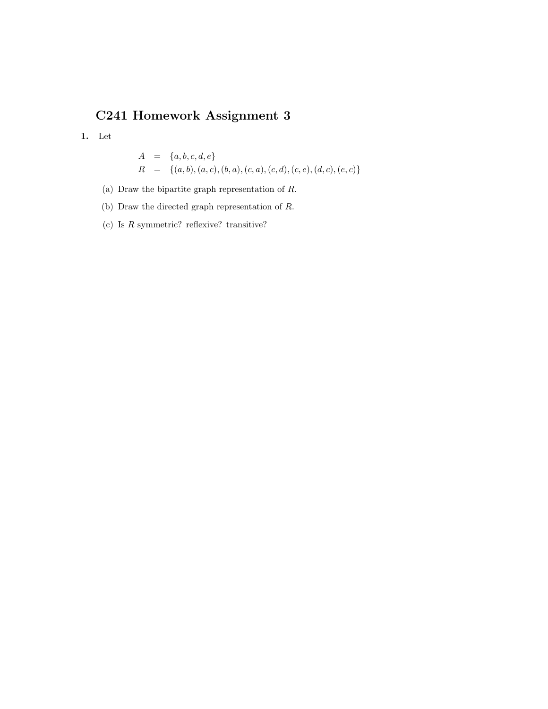## C241 Homework Assignment 3

1. Let

$$
A = \{a, b, c, d, e\}
$$
  

$$
R = \{(a, b), (a, c), (b, a), (c, a), (c, d), (c, e), (d, c), (e, c)\}
$$

(a) Draw the bipartite graph representation of R.

(b) Draw the directed graph representation of R.

(c) Is  $R$  symmetric? reflexive? transitive?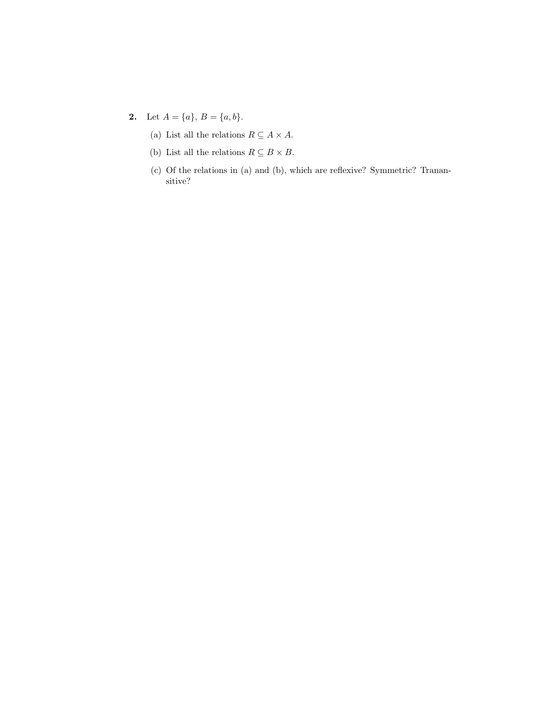- 2. Let  $A = \{a\}, B = \{a, b\}.$ 
	- (a) List all the relations  $R \subseteq A \times A.$
	- (b) List all the relations  $R \subseteq B \times B.$
	- (c) Of the relations in (a) and (b), which are reflexive? Symmetric? Tranansitive?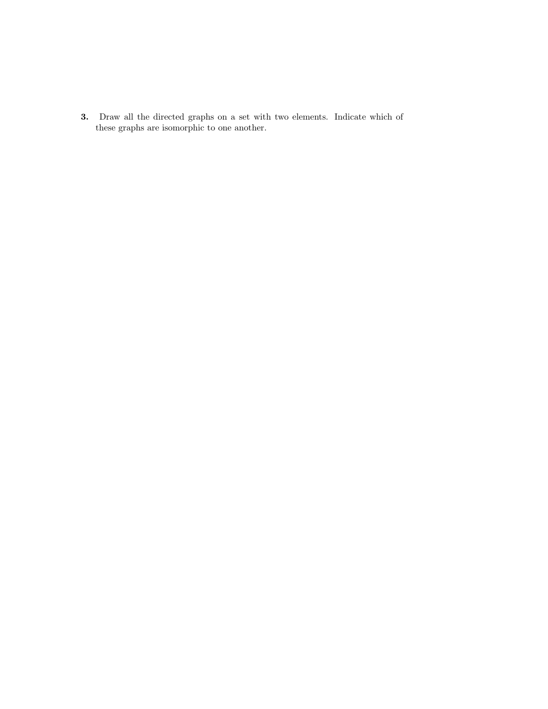3. Draw all the directed graphs on a set with two elements. Indicate which of these graphs are isomorphic to one another.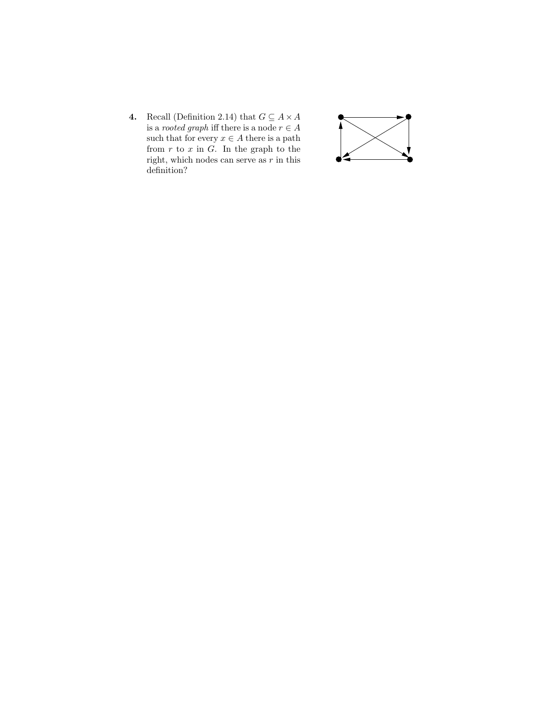4. Recall (Definition 2.14) that  $G \subseteq A \times A$ is a *rooted graph* iff there is a node  $r \in A$ such that for every  $x \in A$  there is a path from  $r$  to  $x$  in  $G$ . In the graph to the right, which nodes can serve as  $r$  in this definition?

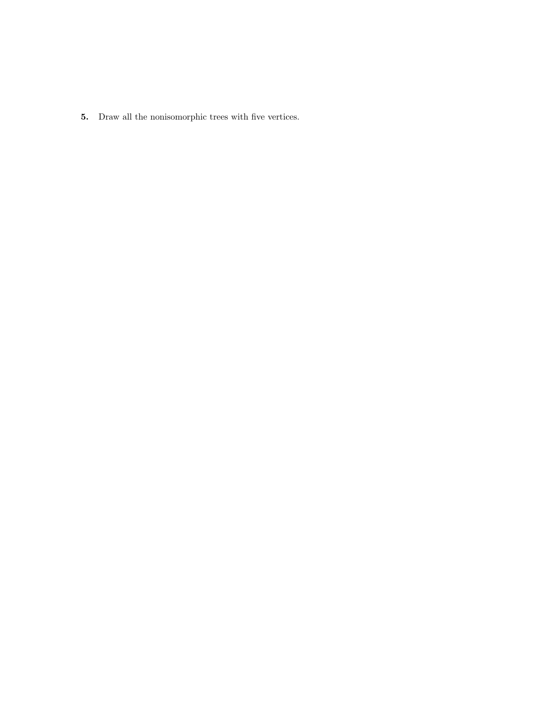5. Draw all the nonisomorphic trees with five vertices.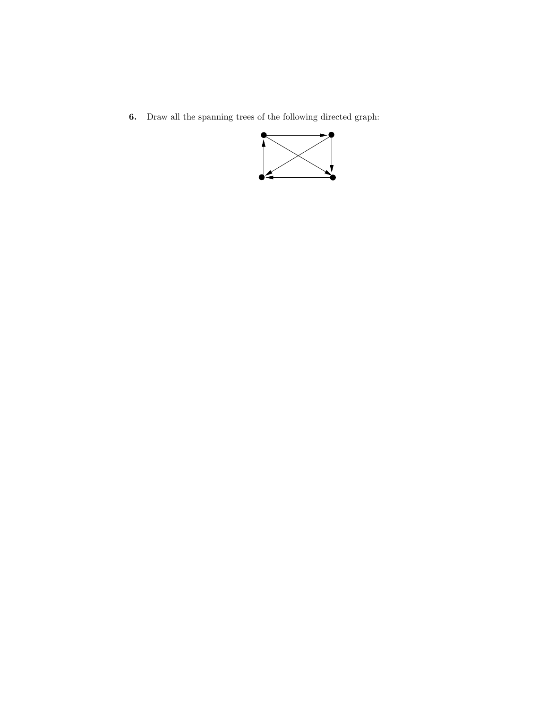6. Draw all the spanning trees of the following directed graph: